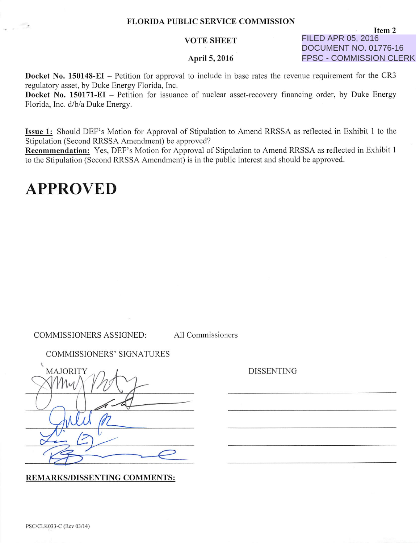## VOTE SHEET

## April 5, 2016

Item 2 FILED APR 05, 2016 DOCUMENT NO. 01776-16 FPSC - COMMISSION CLERK

Docket No. 150148-EI - Petition for approval to include in base rates the revenue requirement for the CR3 regulatory asset, by Duke Energy Florida, Inc.

Docket No. 150171-EI - Petition for issuance of nuclear asset-recovery financing order, by Duke Energy Florida, Inc. d/b/a Duke Energy.

Issue 1: Should DEF's Motion for Approval of Stipulation to Amend RRSSA as reflected in Exhibit 1 to the Stipulation (Second RRSSA Amendment) be approved?

Recommendation: Yes, DEF's Motion for Approval of Stipulation to Amend RRSSA as reflected in Exhibit 1 to the Stipulation (Second RRSSA Amendment) is in the public interest and should be approved.

## **APPROVED**

COMMISSIONERS ASSIGNED: All Commissioners

COMMISSIONERS' SIGNATURES

| MAJORITY |
|----------|
|          |
|          |
|          |

REMARKS/DISSENTING COMMENTS:

DISSENTING